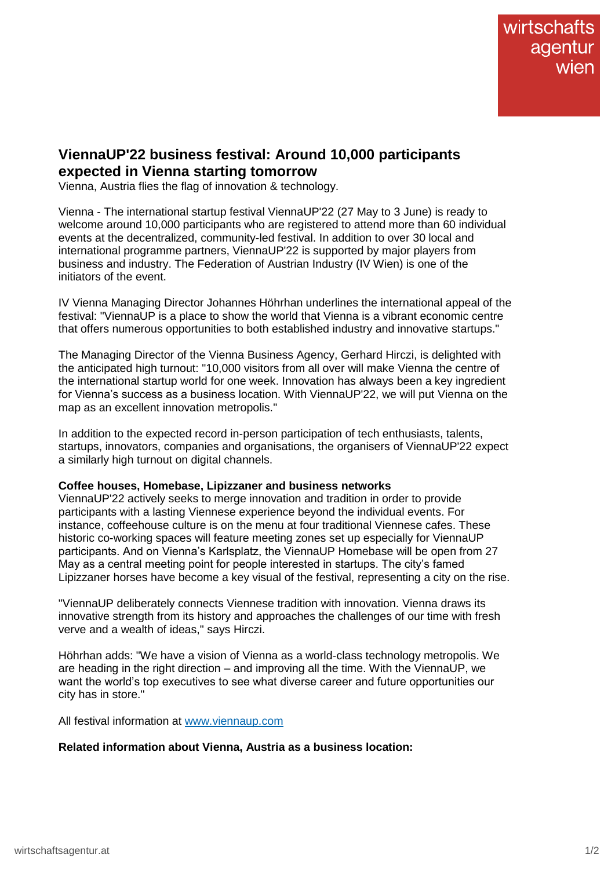## **ViennaUP'22 business festival: Around 10,000 participants expected in Vienna starting tomorrow**

Vienna, Austria flies the flag of innovation & technology.

Vienna - The international startup festival ViennaUP'22 (27 May to 3 June) is ready to welcome around 10,000 participants who are registered to attend more than 60 individual events at the decentralized, community-led festival. In addition to over 30 local and international programme partners, ViennaUP'22 is supported by major players from business and industry. The Federation of Austrian Industry (IV Wien) is one of the initiators of the event.

IV Vienna Managing Director Johannes Höhrhan underlines the international appeal of the festival: "ViennaUP is a place to show the world that Vienna is a vibrant economic centre that offers numerous opportunities to both established industry and innovative startups."

The Managing Director of the Vienna Business Agency, Gerhard Hirczi, is delighted with the anticipated high turnout: "10,000 visitors from all over will make Vienna the centre of the international startup world for one week. Innovation has always been a key ingredient for Vienna's success as a business location. With ViennaUP'22, we will put Vienna on the map as an excellent innovation metropolis."

In addition to the expected record in-person participation of tech enthusiasts, talents, startups, innovators, companies and organisations, the organisers of ViennaUP'22 expect a similarly high turnout on digital channels.

## **Coffee houses, Homebase, Lipizzaner and business networks**

ViennaUP'22 actively seeks to merge innovation and tradition in order to provide participants with a lasting Viennese experience beyond the individual events. For instance, coffeehouse culture is on the menu at four traditional Viennese cafes. These historic co-working spaces will feature meeting zones set up especially for ViennaUP participants. And on Vienna's Karlsplatz, the ViennaUP Homebase will be open from 27 May as a central meeting point for people interested in startups. The city's famed Lipizzaner horses have become a key visual of the festival, representing a city on the rise.

"ViennaUP deliberately connects Viennese tradition with innovation. Vienna draws its innovative strength from its history and approaches the challenges of our time with fresh verve and a wealth of ideas," says Hirczi.

Höhrhan adds: "We have a vision of Vienna as a world-class technology metropolis. We are heading in the right direction – and improving all the time. With the ViennaUP, we want the world's top executives to see what diverse career and future opportunities our city has in store."

All festival information at [www.viennaup.com](http://www.viennaup.com/)

## **Related information about Vienna, Austria as a business location:**